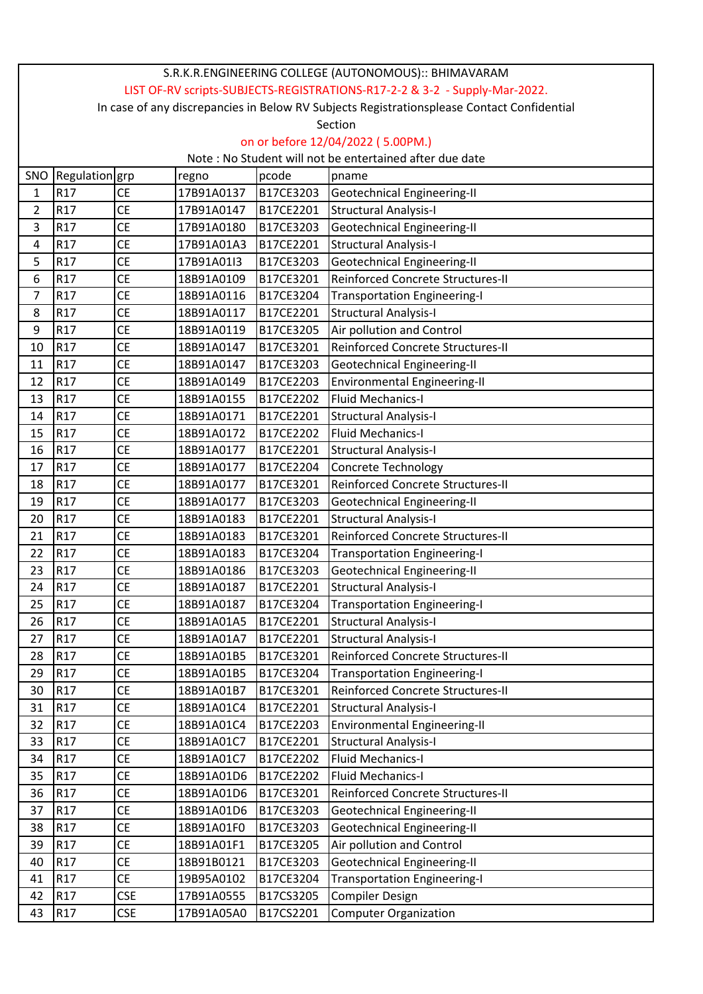| S.R.K.R.ENGINEERING COLLEGE (AUTONOMOUS):: BHIMAVARAM                                      |                                                         |            |            |           |                                     |  |  |
|--------------------------------------------------------------------------------------------|---------------------------------------------------------|------------|------------|-----------|-------------------------------------|--|--|
| LIST OF-RV scripts-SUBJECTS-REGISTRATIONS-R17-2-2 & 3-2 - Supply-Mar-2022.                 |                                                         |            |            |           |                                     |  |  |
| In case of any discrepancies in Below RV Subjects Registrationsplease Contact Confidential |                                                         |            |            |           |                                     |  |  |
| Section                                                                                    |                                                         |            |            |           |                                     |  |  |
|                                                                                            | on or before 12/04/2022 (5.00PM.)                       |            |            |           |                                     |  |  |
|                                                                                            | Note: No Student will not be entertained after due date |            |            |           |                                     |  |  |
| Regulation grp<br>SNO<br>pcode<br>regno<br>pname                                           |                                                         |            |            |           |                                     |  |  |
| $\mathbf{1}$                                                                               | R <sub>17</sub>                                         | <b>CE</b>  | 17B91A0137 | B17CE3203 | Geotechnical Engineering-II         |  |  |
| 2                                                                                          | R <sub>17</sub>                                         | <b>CE</b>  | 17B91A0147 | B17CE2201 | <b>Structural Analysis-I</b>        |  |  |
| 3                                                                                          | R17                                                     | <b>CE</b>  | 17B91A0180 | B17CE3203 | Geotechnical Engineering-II         |  |  |
| 4                                                                                          | R17                                                     | <b>CE</b>  | 17B91A01A3 | B17CE2201 | <b>Structural Analysis-I</b>        |  |  |
| 5                                                                                          | R17                                                     | <b>CE</b>  | 17B91A01I3 | B17CE3203 | <b>Geotechnical Engineering-II</b>  |  |  |
| 6                                                                                          | R17                                                     | <b>CE</b>  | 18B91A0109 | B17CE3201 | Reinforced Concrete Structures-II   |  |  |
| 7                                                                                          | R17                                                     | <b>CE</b>  | 18B91A0116 | B17CE3204 | <b>Transportation Engineering-I</b> |  |  |
| 8                                                                                          | R17                                                     | <b>CE</b>  | 18B91A0117 | B17CE2201 | <b>Structural Analysis-I</b>        |  |  |
| 9                                                                                          | R <sub>17</sub>                                         | <b>CE</b>  | 18B91A0119 | B17CE3205 | Air pollution and Control           |  |  |
| 10                                                                                         | R17                                                     | <b>CE</b>  | 18B91A0147 | B17CE3201 | Reinforced Concrete Structures-II   |  |  |
| 11                                                                                         | R17                                                     | <b>CE</b>  | 18B91A0147 | B17CE3203 | <b>Geotechnical Engineering-II</b>  |  |  |
| 12                                                                                         | R17                                                     | <b>CE</b>  | 18B91A0149 | B17CE2203 | <b>Environmental Engineering-II</b> |  |  |
| 13                                                                                         | R17                                                     | <b>CE</b>  | 18B91A0155 | B17CE2202 | <b>Fluid Mechanics-I</b>            |  |  |
| 14                                                                                         | R <sub>17</sub>                                         | <b>CE</b>  | 18B91A0171 | B17CE2201 | <b>Structural Analysis-I</b>        |  |  |
| 15                                                                                         | R17                                                     | <b>CE</b>  | 18B91A0172 | B17CE2202 | <b>Fluid Mechanics-I</b>            |  |  |
| 16                                                                                         | R <sub>17</sub>                                         | <b>CE</b>  | 18B91A0177 | B17CE2201 | <b>Structural Analysis-I</b>        |  |  |
| 17                                                                                         | R17                                                     | <b>CE</b>  | 18B91A0177 | B17CE2204 | Concrete Technology                 |  |  |
| 18                                                                                         | R17                                                     | <b>CE</b>  | 18B91A0177 | B17CE3201 | Reinforced Concrete Structures-II   |  |  |
| 19                                                                                         | R <sub>17</sub>                                         | <b>CE</b>  | 18B91A0177 | B17CE3203 | Geotechnical Engineering-II         |  |  |
| 20                                                                                         | R17                                                     | <b>CE</b>  | 18B91A0183 | B17CE2201 | <b>Structural Analysis-I</b>        |  |  |
| 21                                                                                         | R17                                                     | <b>CE</b>  | 18B91A0183 | B17CE3201 | Reinforced Concrete Structures-II   |  |  |
| 22                                                                                         | R <sub>17</sub>                                         | <b>CE</b>  | 18B91A0183 | B17CE3204 | <b>Transportation Engineering-I</b> |  |  |
| 23                                                                                         | R <sub>17</sub>                                         | <b>CE</b>  | 18B91A0186 | B17CE3203 | <b>Geotechnical Engineering-II</b>  |  |  |
| 24                                                                                         | R <sub>17</sub>                                         | CE         | 18B91A0187 | B17CE2201 | <b>Structural Analysis-I</b>        |  |  |
| 25                                                                                         | R17                                                     | <b>CE</b>  | 18B91A0187 | B17CE3204 | <b>Transportation Engineering-I</b> |  |  |
| 26                                                                                         | R17                                                     | <b>CE</b>  | 18B91A01A5 | B17CE2201 | <b>Structural Analysis-I</b>        |  |  |
| 27                                                                                         | R17                                                     | <b>CE</b>  | 18B91A01A7 | B17CE2201 | <b>Structural Analysis-I</b>        |  |  |
| 28                                                                                         | R <sub>17</sub>                                         | <b>CE</b>  | 18B91A01B5 | B17CE3201 | Reinforced Concrete Structures-II   |  |  |
| 29                                                                                         | R <sub>17</sub>                                         | <b>CE</b>  | 18B91A01B5 | B17CE3204 | <b>Transportation Engineering-I</b> |  |  |
| 30                                                                                         | R <sub>17</sub>                                         | <b>CE</b>  | 18B91A01B7 | B17CE3201 | Reinforced Concrete Structures-II   |  |  |
| 31                                                                                         | R17                                                     | <b>CE</b>  | 18B91A01C4 | B17CE2201 | <b>Structural Analysis-I</b>        |  |  |
| 32                                                                                         | R <sub>17</sub>                                         | <b>CE</b>  | 18B91A01C4 | B17CE2203 | <b>Environmental Engineering-II</b> |  |  |
| 33                                                                                         | R <sub>17</sub>                                         | <b>CE</b>  | 18B91A01C7 | B17CE2201 | <b>Structural Analysis-I</b>        |  |  |
| 34                                                                                         | R <sub>17</sub>                                         | CE         | 18B91A01C7 | B17CE2202 | <b>Fluid Mechanics-I</b>            |  |  |
| 35                                                                                         | R17                                                     | <b>CE</b>  | 18B91A01D6 | B17CE2202 | <b>Fluid Mechanics-I</b>            |  |  |
| 36                                                                                         | R <sub>17</sub>                                         | CE         | 18B91A01D6 | B17CE3201 | Reinforced Concrete Structures-II   |  |  |
| 37                                                                                         | R17                                                     | <b>CE</b>  | 18B91A01D6 | B17CE3203 | <b>Geotechnical Engineering-II</b>  |  |  |
| 38                                                                                         | R <sub>17</sub>                                         | <b>CE</b>  | 18B91A01F0 | B17CE3203 | Geotechnical Engineering-II         |  |  |
| 39                                                                                         | R17                                                     | <b>CE</b>  | 18B91A01F1 | B17CE3205 | Air pollution and Control           |  |  |
| 40                                                                                         | R17                                                     | <b>CE</b>  | 18B91B0121 | B17CE3203 | <b>Geotechnical Engineering-II</b>  |  |  |
| 41                                                                                         | R <sub>17</sub>                                         | <b>CE</b>  | 19B95A0102 | B17CE3204 | <b>Transportation Engineering-I</b> |  |  |
| 42                                                                                         | R <sub>17</sub>                                         | <b>CSE</b> | 17B91A0555 | B17CS3205 | <b>Compiler Design</b>              |  |  |
| 43                                                                                         | R <sub>17</sub>                                         | <b>CSE</b> | 17B91A05A0 | B17CS2201 | <b>Computer Organization</b>        |  |  |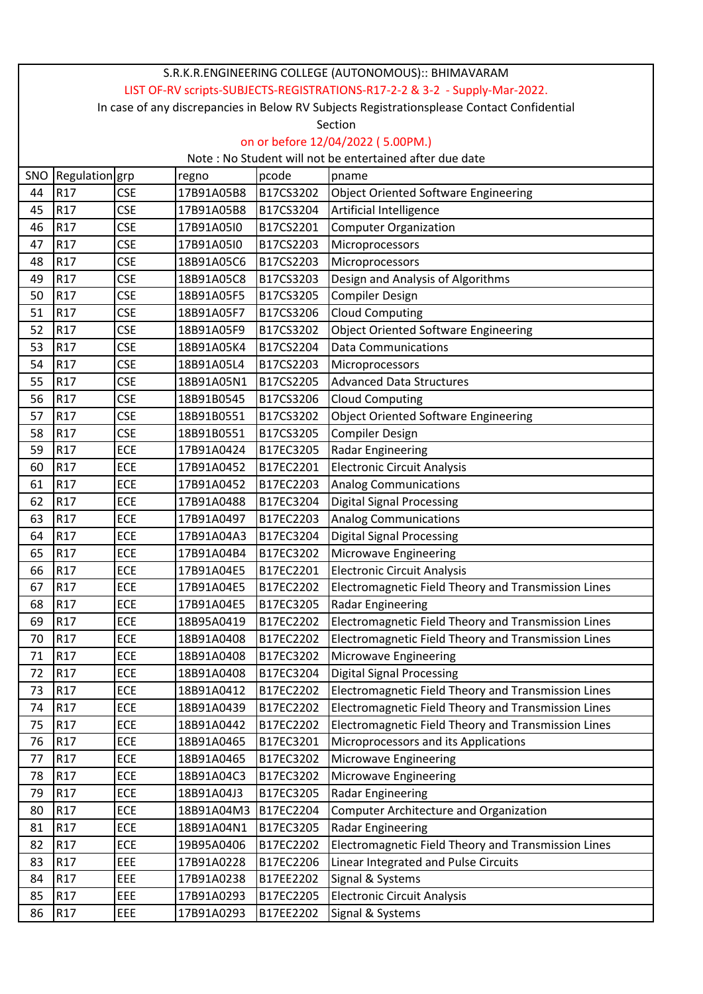| S.R.K.R.ENGINEERING COLLEGE (AUTONOMOUS):: BHIMAVARAM                                      |                                                         |            |            |           |                                                     |  |  |
|--------------------------------------------------------------------------------------------|---------------------------------------------------------|------------|------------|-----------|-----------------------------------------------------|--|--|
| LIST OF-RV scripts-SUBJECTS-REGISTRATIONS-R17-2-2 & 3-2 - Supply-Mar-2022.                 |                                                         |            |            |           |                                                     |  |  |
| In case of any discrepancies in Below RV Subjects Registrationsplease Contact Confidential |                                                         |            |            |           |                                                     |  |  |
| Section                                                                                    |                                                         |            |            |           |                                                     |  |  |
|                                                                                            | on or before 12/04/2022 (5.00PM.)                       |            |            |           |                                                     |  |  |
|                                                                                            | Note: No Student will not be entertained after due date |            |            |           |                                                     |  |  |
| SNO                                                                                        | Regulation grp                                          |            | regno      | pcode     | pname                                               |  |  |
| 44                                                                                         | R <sub>17</sub>                                         | <b>CSE</b> | 17B91A05B8 | B17CS3202 | <b>Object Oriented Software Engineering</b>         |  |  |
| 45                                                                                         | R17                                                     | <b>CSE</b> | 17B91A05B8 | B17CS3204 | Artificial Intelligence                             |  |  |
| 46                                                                                         | R <sub>17</sub>                                         | <b>CSE</b> | 17B91A05I0 | B17CS2201 | <b>Computer Organization</b>                        |  |  |
| 47                                                                                         | R17                                                     | <b>CSE</b> | 17B91A05I0 | B17CS2203 | Microprocessors                                     |  |  |
| 48                                                                                         | R17                                                     | <b>CSE</b> | 18B91A05C6 | B17CS2203 | Microprocessors                                     |  |  |
| 49                                                                                         | R17                                                     | <b>CSE</b> | 18B91A05C8 | B17CS3203 | Design and Analysis of Algorithms                   |  |  |
| 50                                                                                         | R <sub>17</sub>                                         | <b>CSE</b> | 18B91A05F5 | B17CS3205 | <b>Compiler Design</b>                              |  |  |
| 51                                                                                         | R17                                                     | <b>CSE</b> | 18B91A05F7 | B17CS3206 | <b>Cloud Computing</b>                              |  |  |
| 52                                                                                         | R <sub>17</sub>                                         | <b>CSE</b> | 18B91A05F9 | B17CS3202 | <b>Object Oriented Software Engineering</b>         |  |  |
| 53                                                                                         | R17                                                     | <b>CSE</b> | 18B91A05K4 | B17CS2204 | <b>Data Communications</b>                          |  |  |
| 54                                                                                         | R17                                                     | <b>CSE</b> | 18B91A05L4 | B17CS2203 | Microprocessors                                     |  |  |
| 55                                                                                         | R <sub>17</sub>                                         | <b>CSE</b> | 18B91A05N1 | B17CS2205 | <b>Advanced Data Structures</b>                     |  |  |
| 56                                                                                         | R <sub>17</sub>                                         | <b>CSE</b> | 18B91B0545 | B17CS3206 | <b>Cloud Computing</b>                              |  |  |
| 57                                                                                         | R17                                                     | <b>CSE</b> | 18B91B0551 | B17CS3202 | <b>Object Oriented Software Engineering</b>         |  |  |
| 58                                                                                         | R17                                                     | <b>CSE</b> | 18B91B0551 | B17CS3205 | <b>Compiler Design</b>                              |  |  |
| 59                                                                                         | R17                                                     | ECE        | 17B91A0424 | B17EC3205 | Radar Engineering                                   |  |  |
| 60                                                                                         | R <sub>17</sub>                                         | ECE        | 17B91A0452 | B17EC2201 | <b>Electronic Circuit Analysis</b>                  |  |  |
| 61                                                                                         | R17                                                     | ECE        | 17B91A0452 | B17EC2203 | Analog Communications                               |  |  |
| 62                                                                                         | R17                                                     | ECE        | 17B91A0488 | B17EC3204 | <b>Digital Signal Processing</b>                    |  |  |
| 63                                                                                         | R17                                                     | ECE        | 17B91A0497 | B17EC2203 | <b>Analog Communications</b>                        |  |  |
| 64                                                                                         | R17                                                     | ECE        | 17B91A04A3 | B17EC3204 | <b>Digital Signal Processing</b>                    |  |  |
| 65                                                                                         | R <sub>17</sub>                                         | ECE        | 17B91A04B4 | B17EC3202 | Microwave Engineering                               |  |  |
| 66                                                                                         | R <sub>17</sub>                                         | ECE        | 17B91A04E5 | B17EC2201 | <b>Electronic Circuit Analysis</b>                  |  |  |
| 67                                                                                         | R <sub>17</sub>                                         | ECE        | 17B91A04E5 | B17EC2202 | Electromagnetic Field Theory and Transmission Lines |  |  |
| 68                                                                                         | R17                                                     | ECE        | 17B91A04E5 | B17EC3205 | Radar Engineering                                   |  |  |
| 69                                                                                         | R <sub>17</sub>                                         | ECE        | 18B95A0419 | B17EC2202 | Electromagnetic Field Theory and Transmission Lines |  |  |
| 70                                                                                         | R <sub>17</sub>                                         | ECE        | 18B91A0408 | B17EC2202 | Electromagnetic Field Theory and Transmission Lines |  |  |
| 71                                                                                         | R17                                                     | ECE        | 18B91A0408 | B17EC3202 | Microwave Engineering                               |  |  |
| 72                                                                                         | R <sub>17</sub>                                         | ECE        | 18B91A0408 | B17EC3204 | <b>Digital Signal Processing</b>                    |  |  |
| 73                                                                                         | R <sub>17</sub>                                         | ECE        | 18B91A0412 | B17EC2202 | Electromagnetic Field Theory and Transmission Lines |  |  |
| 74                                                                                         | R <sub>17</sub>                                         | ECE        | 18B91A0439 | B17EC2202 | Electromagnetic Field Theory and Transmission Lines |  |  |
| 75                                                                                         | R <sub>17</sub>                                         | ECE        | 18B91A0442 | B17EC2202 | Electromagnetic Field Theory and Transmission Lines |  |  |
| 76                                                                                         | R17                                                     | ECE        | 18B91A0465 | B17EC3201 | Microprocessors and its Applications                |  |  |
| 77                                                                                         | R <sub>17</sub>                                         | ECE        | 18B91A0465 | B17EC3202 | Microwave Engineering                               |  |  |
| 78                                                                                         | R <sub>17</sub>                                         | ECE        | 18B91A04C3 | B17EC3202 | Microwave Engineering                               |  |  |
| 79                                                                                         | R17                                                     | ECE        | 18B91A04J3 | B17EC3205 | Radar Engineering                                   |  |  |
| 80                                                                                         | R17                                                     | ECE        | 18B91A04M3 | B17EC2204 | <b>Computer Architecture and Organization</b>       |  |  |
| 81                                                                                         | R <sub>17</sub>                                         | ECE        | 18B91A04N1 | B17EC3205 | <b>Radar Engineering</b>                            |  |  |
| 82                                                                                         | R <sub>17</sub>                                         | ECE        | 19B95A0406 | B17EC2202 | Electromagnetic Field Theory and Transmission Lines |  |  |
| 83                                                                                         | R <sub>17</sub>                                         | <b>EEE</b> | 17B91A0228 | B17EC2206 | Linear Integrated and Pulse Circuits                |  |  |
| 84                                                                                         | R <sub>17</sub>                                         | <b>EEE</b> | 17B91A0238 | B17EE2202 | Signal & Systems                                    |  |  |
| 85                                                                                         | R <sub>17</sub>                                         | <b>EEE</b> | 17B91A0293 | B17EC2205 | <b>Electronic Circuit Analysis</b>                  |  |  |
| 86                                                                                         | R17                                                     | EEE        | 17B91A0293 | B17EE2202 | Signal & Systems                                    |  |  |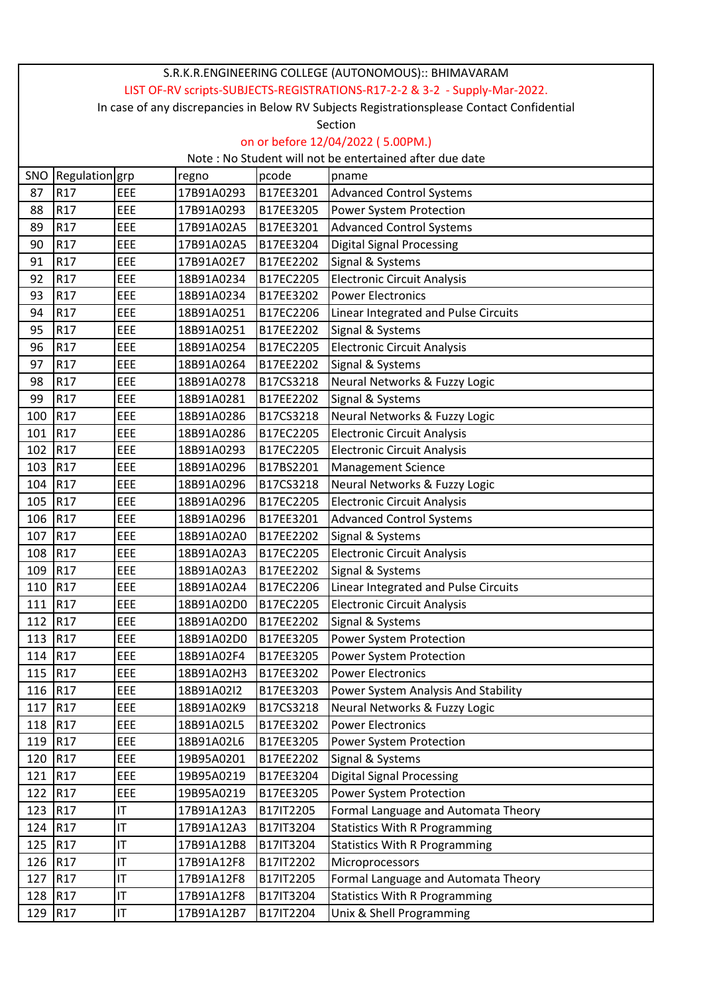| S.R.K.R.ENGINEERING COLLEGE (AUTONOMOUS):: BHIMAVARAM                      |                                                                                            |     |            |           |                                      |  |  |
|----------------------------------------------------------------------------|--------------------------------------------------------------------------------------------|-----|------------|-----------|--------------------------------------|--|--|
| LIST OF-RV scripts-SUBJECTS-REGISTRATIONS-R17-2-2 & 3-2 - Supply-Mar-2022. |                                                                                            |     |            |           |                                      |  |  |
|                                                                            | In case of any discrepancies in Below RV Subjects Registrationsplease Contact Confidential |     |            |           |                                      |  |  |
| Section                                                                    |                                                                                            |     |            |           |                                      |  |  |
|                                                                            | on or before 12/04/2022 (5.00PM.)                                                          |     |            |           |                                      |  |  |
| Note: No Student will not be entertained after due date                    |                                                                                            |     |            |           |                                      |  |  |
| SNO                                                                        | Regulation grp                                                                             |     | regno      | pcode     | pname                                |  |  |
| 87                                                                         | R17                                                                                        | EEE | 17B91A0293 | B17EE3201 | <b>Advanced Control Systems</b>      |  |  |
| 88                                                                         | R17                                                                                        | EEE | 17B91A0293 | B17EE3205 | Power System Protection              |  |  |
| 89                                                                         | R <sub>17</sub>                                                                            | EEE | 17B91A02A5 | B17EE3201 | <b>Advanced Control Systems</b>      |  |  |
| 90                                                                         | R17                                                                                        | EEE | 17B91A02A5 | B17EE3204 | <b>Digital Signal Processing</b>     |  |  |
| 91                                                                         | R17                                                                                        | EEE | 17B91A02E7 | B17EE2202 | Signal & Systems                     |  |  |
| 92                                                                         | R17                                                                                        | EEE | 18B91A0234 | B17EC2205 | <b>Electronic Circuit Analysis</b>   |  |  |
| 93                                                                         | R <sub>17</sub>                                                                            | EEE | 18B91A0234 | B17EE3202 | <b>Power Electronics</b>             |  |  |
| 94                                                                         | R <sub>17</sub>                                                                            | EEE | 18B91A0251 | B17EC2206 | Linear Integrated and Pulse Circuits |  |  |
| 95                                                                         | R <sub>17</sub>                                                                            | EEE | 18B91A0251 | B17EE2202 | Signal & Systems                     |  |  |
| 96                                                                         | R <sub>17</sub>                                                                            | EEE | 18B91A0254 | B17EC2205 | <b>Electronic Circuit Analysis</b>   |  |  |
| 97                                                                         | R17                                                                                        | EEE | 18B91A0264 | B17EE2202 | Signal & Systems                     |  |  |
| 98                                                                         | R <sub>17</sub>                                                                            | EEE | 18B91A0278 | B17CS3218 | Neural Networks & Fuzzy Logic        |  |  |
| 99                                                                         | R <sub>17</sub>                                                                            | EEE | 18B91A0281 | B17EE2202 | Signal & Systems                     |  |  |
| 100                                                                        | R <sub>17</sub>                                                                            | EEE | 18B91A0286 | B17CS3218 | Neural Networks & Fuzzy Logic        |  |  |
| 101                                                                        | R <sub>17</sub>                                                                            | EEE | 18B91A0286 | B17EC2205 | <b>Electronic Circuit Analysis</b>   |  |  |
| 102                                                                        | R <sub>17</sub>                                                                            | EEE | 18B91A0293 | B17EC2205 | <b>Electronic Circuit Analysis</b>   |  |  |
| 103                                                                        | R <sub>17</sub>                                                                            | EEE | 18B91A0296 | B17BS2201 | <b>Management Science</b>            |  |  |
| 104                                                                        | R <sub>17</sub>                                                                            | EEE | 18B91A0296 | B17CS3218 | Neural Networks & Fuzzy Logic        |  |  |
| 105                                                                        | R <sub>17</sub>                                                                            | EEE | 18B91A0296 | B17EC2205 | <b>Electronic Circuit Analysis</b>   |  |  |
| 106                                                                        | R17                                                                                        | EEE | 18B91A0296 | B17EE3201 | <b>Advanced Control Systems</b>      |  |  |
| 107                                                                        | R <sub>17</sub>                                                                            | EEE | 18B91A02A0 | B17EE2202 | Signal & Systems                     |  |  |
| 108                                                                        | R17                                                                                        | EEE | 18B91A02A3 | B17EC2205 | <b>Electronic Circuit Analysis</b>   |  |  |
| 109                                                                        | R <sub>17</sub>                                                                            | EEE | 18B91A02A3 | B17EE2202 | Signal & Systems                     |  |  |
| 110                                                                        | R <sub>17</sub>                                                                            | EEE | 18B91A02A4 | B17EC2206 | Linear Integrated and Pulse Circuits |  |  |
| 111                                                                        | R <sub>17</sub>                                                                            | EEE | 18B91A02D0 | B17EC2205 | <b>Electronic Circuit Analysis</b>   |  |  |
| 112                                                                        | R <sub>17</sub>                                                                            | EEE | 18B91A02D0 | B17EE2202 | Signal & Systems                     |  |  |
| 113                                                                        | R17                                                                                        | EEE | 18B91A02D0 | B17EE3205 | Power System Protection              |  |  |
| 114                                                                        | R17                                                                                        | EEE | 18B91A02F4 | B17EE3205 | Power System Protection              |  |  |
| 115                                                                        | R <sub>17</sub>                                                                            | EEE | 18B91A02H3 | B17EE3202 | <b>Power Electronics</b>             |  |  |
| 116                                                                        | R17                                                                                        | EEE | 18B91A02I2 | B17EE3203 | Power System Analysis And Stability  |  |  |
| 117                                                                        | R17                                                                                        | EEE | 18B91A02K9 | B17CS3218 | Neural Networks & Fuzzy Logic        |  |  |
| 118                                                                        | R <sub>17</sub>                                                                            | EEE | 18B91A02L5 | B17EE3202 | <b>Power Electronics</b>             |  |  |
| 119                                                                        | R17                                                                                        | EEE | 18B91A02L6 | B17EE3205 | Power System Protection              |  |  |
| 120                                                                        | R <sub>17</sub>                                                                            | EEE | 19B95A0201 | B17EE2202 | Signal & Systems                     |  |  |
| 121                                                                        | R <sub>17</sub>                                                                            | EEE | 19B95A0219 | B17EE3204 | <b>Digital Signal Processing</b>     |  |  |
| 122                                                                        | R <sub>17</sub>                                                                            | EEE | 19B95A0219 | B17EE3205 | Power System Protection              |  |  |
| 123                                                                        | R <sub>17</sub>                                                                            | IT  | 17B91A12A3 | B17IT2205 | Formal Language and Automata Theory  |  |  |
| 124                                                                        | R <sub>17</sub>                                                                            | IT  | 17B91A12A3 | B17IT3204 | <b>Statistics With R Programming</b> |  |  |
| 125                                                                        | R17                                                                                        | IT  | 17B91A12B8 | B17IT3204 | <b>Statistics With R Programming</b> |  |  |
| 126                                                                        | R <sub>17</sub>                                                                            | IT  | 17B91A12F8 | B17IT2202 | Microprocessors                      |  |  |
| 127                                                                        | R17                                                                                        | IT  | 17B91A12F8 | B17IT2205 | Formal Language and Automata Theory  |  |  |
| 128                                                                        | R17                                                                                        | IT  | 17B91A12F8 | B17IT3204 | <b>Statistics With R Programming</b> |  |  |
| 129                                                                        | R <sub>17</sub>                                                                            | IT  | 17B91A12B7 | B17IT2204 | Unix & Shell Programming             |  |  |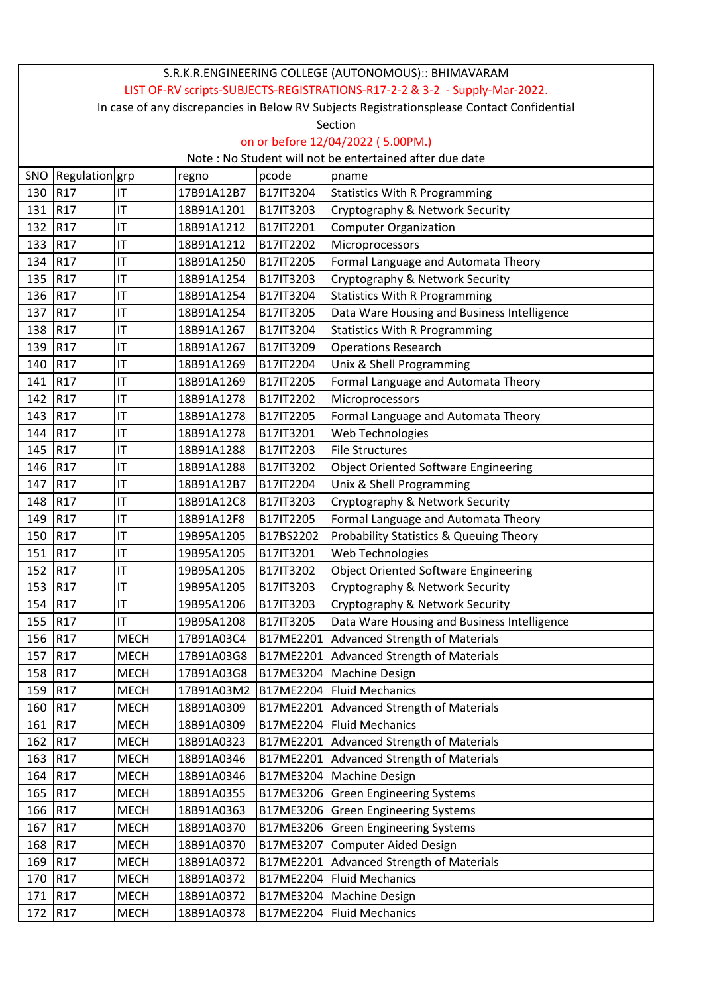|         | S.R.K.R.ENGINEERING COLLEGE (AUTONOMOUS):: BHIMAVARAM                                      |                |            |                  |                                                    |  |  |
|---------|--------------------------------------------------------------------------------------------|----------------|------------|------------------|----------------------------------------------------|--|--|
|         | LIST OF-RV scripts-SUBJECTS-REGISTRATIONS-R17-2-2 & 3-2 - Supply-Mar-2022.                 |                |            |                  |                                                    |  |  |
|         | In case of any discrepancies in Below RV Subjects Registrationsplease Contact Confidential |                |            |                  |                                                    |  |  |
|         | Section                                                                                    |                |            |                  |                                                    |  |  |
|         | on or before 12/04/2022 (5.00PM.)                                                          |                |            |                  |                                                    |  |  |
|         | Note: No Student will not be entertained after due date                                    |                |            |                  |                                                    |  |  |
|         | SNO Regulation grp                                                                         |                | regno      | pcode            | pname                                              |  |  |
| 130     | R <sub>17</sub>                                                                            | IT             | 17B91A12B7 | B17IT3204        | <b>Statistics With R Programming</b>               |  |  |
| 131     | R <sub>17</sub>                                                                            | IT             | 18B91A1201 | B17IT3203        | Cryptography & Network Security                    |  |  |
| 132     | R <sub>17</sub>                                                                            | IT             | 18B91A1212 | B17IT2201        | <b>Computer Organization</b>                       |  |  |
| 133     | R17                                                                                        | ΙT             | 18B91A1212 | B17IT2202        | Microprocessors                                    |  |  |
| 134     | R <sub>17</sub>                                                                            | ΙT             | 18B91A1250 | B17IT2205        | Formal Language and Automata Theory                |  |  |
| 135     | R17                                                                                        | ΙT             | 18B91A1254 | B17IT3203        | Cryptography & Network Security                    |  |  |
| 136     | R17                                                                                        | ΙT             | 18B91A1254 | B17IT3204        | <b>Statistics With R Programming</b>               |  |  |
| 137     | R17                                                                                        | IT             | 18B91A1254 | B17IT3205        | Data Ware Housing and Business Intelligence        |  |  |
| 138     | R17                                                                                        | ΙT             | 18B91A1267 | B17IT3204        | <b>Statistics With R Programming</b>               |  |  |
| 139     | R17                                                                                        | IT             | 18B91A1267 | B17IT3209        | <b>Operations Research</b>                         |  |  |
| 140     | R <sub>17</sub>                                                                            | IT             | 18B91A1269 | B17IT2204        | Unix & Shell Programming                           |  |  |
| 141     | R <sub>17</sub>                                                                            | ΙT             | 18B91A1269 | B17IT2205        | Formal Language and Automata Theory                |  |  |
| 142     | R <sub>17</sub>                                                                            | ΙT             | 18B91A1278 | B17IT2202        | Microprocessors                                    |  |  |
| 143     | R <sub>17</sub>                                                                            | ΙT             | 18B91A1278 | B17IT2205        | Formal Language and Automata Theory                |  |  |
| 144     | R <sub>17</sub>                                                                            | IT             | 18B91A1278 | B17IT3201        | Web Technologies                                   |  |  |
| 145     | R17                                                                                        | IT             | 18B91A1288 | B17IT2203        | <b>File Structures</b>                             |  |  |
| 146     | R <sub>17</sub>                                                                            | ΙT             | 18B91A1288 | B17IT3202        | <b>Object Oriented Software Engineering</b>        |  |  |
| 147     | R17                                                                                        | ΙT             | 18B91A12B7 | B17IT2204        | Unix & Shell Programming                           |  |  |
| 148     | R <sub>17</sub>                                                                            | ΙT             | 18B91A12C8 | B17IT3203        | Cryptography & Network Security                    |  |  |
| 149     | R17                                                                                        | IT             | 18B91A12F8 | B17IT2205        | Formal Language and Automata Theory                |  |  |
| 150     | R <sub>17</sub>                                                                            | IT             | 19B95A1205 | B17BS2202        | <b>Probability Statistics &amp; Queuing Theory</b> |  |  |
| 151     | R <sub>17</sub>                                                                            | IT             | 19B95A1205 | B17IT3201        | Web Technologies                                   |  |  |
| 152     | R <sub>17</sub>                                                                            | IT             | 19B95A1205 | B17IT3202        | <b>Object Oriented Software Engineering</b>        |  |  |
| 153 R17 |                                                                                            | $ \mathsf{T} $ | 19B95A1205 | <b>B17IT3203</b> | Cryptography & Network Security                    |  |  |
| 154     | R <sub>17</sub>                                                                            | ΙT             | 19B95A1206 | B17IT3203        | Cryptography & Network Security                    |  |  |
| 155 R17 |                                                                                            | ΙT             | 19B95A1208 | B17IT3205        | Data Ware Housing and Business Intelligence        |  |  |
| 156     | R <sub>17</sub>                                                                            | <b>MECH</b>    | 17B91A03C4 | B17ME2201        | <b>Advanced Strength of Materials</b>              |  |  |
| 157     | R <sub>17</sub>                                                                            | <b>MECH</b>    | 17B91A03G8 |                  | B17ME2201 Advanced Strength of Materials           |  |  |
| 158     | R <sub>17</sub>                                                                            | <b>MECH</b>    | 17B91A03G8 | B17ME3204        | Machine Design                                     |  |  |
| 159     | R <sub>17</sub>                                                                            | <b>MECH</b>    | 17B91A03M2 |                  | B17ME2204 Fluid Mechanics                          |  |  |
| 160     | R17                                                                                        | <b>MECH</b>    | 18B91A0309 | B17ME2201        | <b>Advanced Strength of Materials</b>              |  |  |
| 161     | R <sub>17</sub>                                                                            | <b>MECH</b>    | 18B91A0309 |                  | B17ME2204   Fluid Mechanics                        |  |  |
| 162 R17 |                                                                                            | <b>MECH</b>    | 18B91A0323 |                  | B17ME2201 Advanced Strength of Materials           |  |  |
| 163     | R17                                                                                        | <b>MECH</b>    | 18B91A0346 | B17ME2201        | <b>Advanced Strength of Materials</b>              |  |  |
| 164     | R <sub>17</sub>                                                                            | <b>MECH</b>    | 18B91A0346 |                  | B17ME3204 Machine Design                           |  |  |
| 165     | R <sub>17</sub>                                                                            | MECH           | 18B91A0355 |                  | B17ME3206 Green Engineering Systems                |  |  |
| 166 R17 |                                                                                            | <b>MECH</b>    | 18B91A0363 |                  | B17ME3206 Green Engineering Systems                |  |  |
| 167     | R <sub>17</sub>                                                                            | <b>MECH</b>    | 18B91A0370 | B17ME3206        | <b>Green Engineering Systems</b>                   |  |  |
| 168     | R <sub>17</sub>                                                                            | <b>MECH</b>    | 18B91A0370 |                  | B17ME3207 Computer Aided Design                    |  |  |
| 169     | R <sub>17</sub>                                                                            | <b>MECH</b>    | 18B91A0372 |                  | B17ME2201 Advanced Strength of Materials           |  |  |
| 170     | R <sub>17</sub>                                                                            | <b>MECH</b>    | 18B91A0372 | B17ME2204        | <b>Fluid Mechanics</b>                             |  |  |
| 171     | R <sub>17</sub>                                                                            | <b>MECH</b>    | 18B91A0372 |                  | B17ME3204   Machine Design                         |  |  |
| 172     | R <sub>17</sub>                                                                            | <b>MECH</b>    | 18B91A0378 |                  | B17ME2204   Fluid Mechanics                        |  |  |